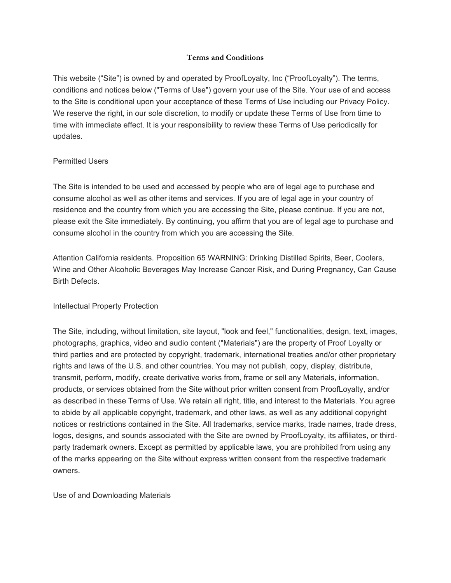# **Terms and Conditions**

This website ("Site") is owned by and operated by ProofLoyalty, Inc ("ProofLoyalty"). The terms, conditions and notices below ("Terms of Use") govern your use of the Site. Your use of and access to the Site is conditional upon your acceptance of these Terms of Use including our Privacy Policy. We reserve the right, in our sole discretion, to modify or update these Terms of Use from time to time with immediate effect. It is your responsibility to review these Terms of Use periodically for updates.

### Permitted Users

The Site is intended to be used and accessed by people who are of legal age to purchase and consume alcohol as well as other items and services. If you are of legal age in your country of residence and the country from which you are accessing the Site, please continue. If you are not, please exit the Site immediately. By continuing, you affirm that you are of legal age to purchase and consume alcohol in the country from which you are accessing the Site.

Attention California residents. Proposition 65 WARNING: Drinking Distilled Spirits, Beer, Coolers, Wine and Other Alcoholic Beverages May Increase Cancer Risk, and During Pregnancy, Can Cause Birth Defects.

# Intellectual Property Protection

The Site, including, without limitation, site layout, "look and feel," functionalities, design, text, images, photographs, graphics, video and audio content ("Materials") are the property of Proof Loyalty or third parties and are protected by copyright, trademark, international treaties and/or other proprietary rights and laws of the U.S. and other countries. You may not publish, copy, display, distribute, transmit, perform, modify, create derivative works from, frame or sell any Materials, information, products, or services obtained from the Site without prior written consent from ProofLoyalty, and/or as described in these Terms of Use. We retain all right, title, and interest to the Materials. You agree to abide by all applicable copyright, trademark, and other laws, as well as any additional copyright notices or restrictions contained in the Site. All trademarks, service marks, trade names, trade dress, logos, designs, and sounds associated with the Site are owned by ProofLoyalty, its affiliates, or thirdparty trademark owners. Except as permitted by applicable laws, you are prohibited from using any of the marks appearing on the Site without express written consent from the respective trademark owners.

Use of and Downloading Materials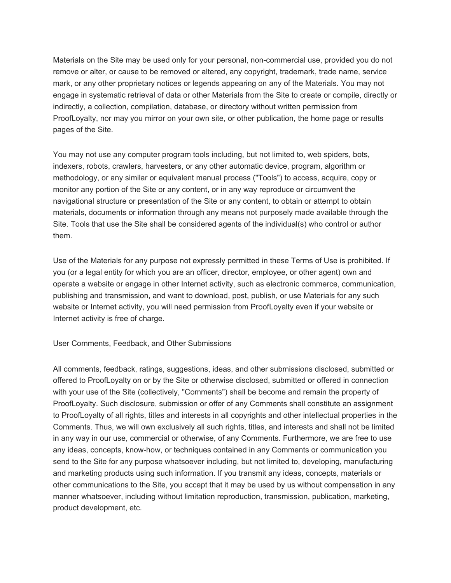Materials on the Site may be used only for your personal, non-commercial use, provided you do not remove or alter, or cause to be removed or altered, any copyright, trademark, trade name, service mark, or any other proprietary notices or legends appearing on any of the Materials. You may not engage in systematic retrieval of data or other Materials from the Site to create or compile, directly or indirectly, a collection, compilation, database, or directory without written permission from ProofLoyalty, nor may you mirror on your own site, or other publication, the home page or results pages of the Site.

You may not use any computer program tools including, but not limited to, web spiders, bots, indexers, robots, crawlers, harvesters, or any other automatic device, program, algorithm or methodology, or any similar or equivalent manual process ("Tools") to access, acquire, copy or monitor any portion of the Site or any content, or in any way reproduce or circumvent the navigational structure or presentation of the Site or any content, to obtain or attempt to obtain materials, documents or information through any means not purposely made available through the Site. Tools that use the Site shall be considered agents of the individual(s) who control or author them.

Use of the Materials for any purpose not expressly permitted in these Terms of Use is prohibited. If you (or a legal entity for which you are an officer, director, employee, or other agent) own and operate a website or engage in other Internet activity, such as electronic commerce, communication, publishing and transmission, and want to download, post, publish, or use Materials for any such website or Internet activity, you will need permission from ProofLoyalty even if your website or Internet activity is free of charge.

User Comments, Feedback, and Other Submissions

All comments, feedback, ratings, suggestions, ideas, and other submissions disclosed, submitted or offered to ProofLoyalty on or by the Site or otherwise disclosed, submitted or offered in connection with your use of the Site (collectively, "Comments") shall be become and remain the property of ProofLoyalty. Such disclosure, submission or offer of any Comments shall constitute an assignment to ProofLoyalty of all rights, titles and interests in all copyrights and other intellectual properties in the Comments. Thus, we will own exclusively all such rights, titles, and interests and shall not be limited in any way in our use, commercial or otherwise, of any Comments. Furthermore, we are free to use any ideas, concepts, know-how, or techniques contained in any Comments or communication you send to the Site for any purpose whatsoever including, but not limited to, developing, manufacturing and marketing products using such information. If you transmit any ideas, concepts, materials or other communications to the Site, you accept that it may be used by us without compensation in any manner whatsoever, including without limitation reproduction, transmission, publication, marketing, product development, etc.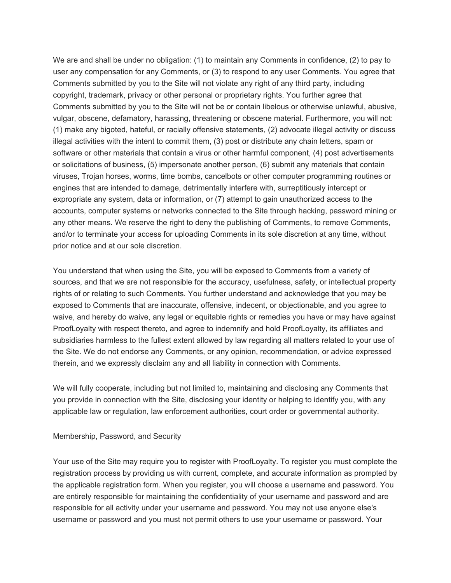We are and shall be under no obligation: (1) to maintain any Comments in confidence, (2) to pay to user any compensation for any Comments, or (3) to respond to any user Comments. You agree that Comments submitted by you to the Site will not violate any right of any third party, including copyright, trademark, privacy or other personal or proprietary rights. You further agree that Comments submitted by you to the Site will not be or contain libelous or otherwise unlawful, abusive, vulgar, obscene, defamatory, harassing, threatening or obscene material. Furthermore, you will not: (1) make any bigoted, hateful, or racially offensive statements, (2) advocate illegal activity or discuss illegal activities with the intent to commit them, (3) post or distribute any chain letters, spam or software or other materials that contain a virus or other harmful component, (4) post advertisements or solicitations of business, (5) impersonate another person, (6) submit any materials that contain viruses, Trojan horses, worms, time bombs, cancelbots or other computer programming routines or engines that are intended to damage, detrimentally interfere with, surreptitiously intercept or expropriate any system, data or information, or (7) attempt to gain unauthorized access to the accounts, computer systems or networks connected to the Site through hacking, password mining or any other means. We reserve the right to deny the publishing of Comments, to remove Comments, and/or to terminate your access for uploading Comments in its sole discretion at any time, without prior notice and at our sole discretion.

You understand that when using the Site, you will be exposed to Comments from a variety of sources, and that we are not responsible for the accuracy, usefulness, safety, or intellectual property rights of or relating to such Comments. You further understand and acknowledge that you may be exposed to Comments that are inaccurate, offensive, indecent, or objectionable, and you agree to waive, and hereby do waive, any legal or equitable rights or remedies you have or may have against ProofLoyalty with respect thereto, and agree to indemnify and hold ProofLoyalty, its affiliates and subsidiaries harmless to the fullest extent allowed by law regarding all matters related to your use of the Site. We do not endorse any Comments, or any opinion, recommendation, or advice expressed therein, and we expressly disclaim any and all liability in connection with Comments.

We will fully cooperate, including but not limited to, maintaining and disclosing any Comments that you provide in connection with the Site, disclosing your identity or helping to identify you, with any applicable law or regulation, law enforcement authorities, court order or governmental authority.

#### Membership, Password, and Security

Your use of the Site may require you to register with ProofLoyalty. To register you must complete the registration process by providing us with current, complete, and accurate information as prompted by the applicable registration form. When you register, you will choose a username and password. You are entirely responsible for maintaining the confidentiality of your username and password and are responsible for all activity under your username and password. You may not use anyone else's username or password and you must not permit others to use your username or password. Your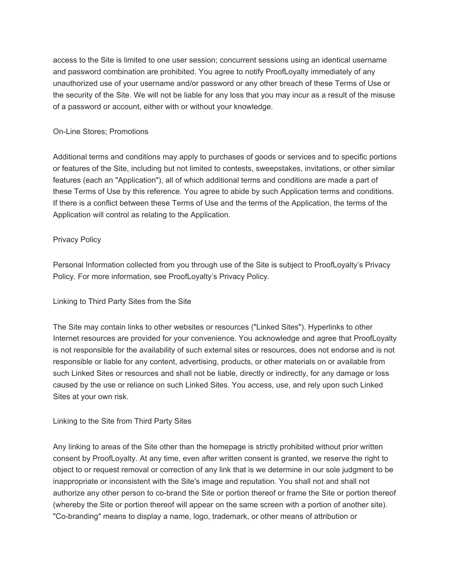access to the Site is limited to one user session; concurrent sessions using an identical username and password combination are prohibited. You agree to notify ProofLoyalty immediately of any unauthorized use of your username and/or password or any other breach of these Terms of Use or the security of the Site. We will not be liable for any loss that you may incur as a result of the misuse of a password or account, either with or without your knowledge.

### On-Line Stores; Promotions

Additional terms and conditions may apply to purchases of goods or services and to specific portions or features of the Site, including but not limited to contests, sweepstakes, invitations, or other similar features (each an "Application"), all of which additional terms and conditions are made a part of these Terms of Use by this reference. You agree to abide by such Application terms and conditions. If there is a conflict between these Terms of Use and the terms of the Application, the terms of the Application will control as relating to the Application.

# Privacy Policy

Personal Information collected from you through use of the Site is subject to ProofLoyalty's Privacy Policy. For more information, see ProofLoyalty's Privacy Policy.

# Linking to Third Party Sites from the Site

The Site may contain links to other websites or resources ("Linked Sites"). Hyperlinks to other Internet resources are provided for your convenience. You acknowledge and agree that ProofLoyalty is not responsible for the availability of such external sites or resources, does not endorse and is not responsible or liable for any content, advertising, products, or other materials on or available from such Linked Sites or resources and shall not be liable, directly or indirectly, for any damage or loss caused by the use or reliance on such Linked Sites. You access, use, and rely upon such Linked Sites at your own risk.

### Linking to the Site from Third Party Sites

Any linking to areas of the Site other than the homepage is strictly prohibited without prior written consent by ProofLoyalty. At any time, even after written consent is granted, we reserve the right to object to or request removal or correction of any link that is we determine in our sole judgment to be inappropriate or inconsistent with the Site's image and reputation. You shall not and shall not authorize any other person to co-brand the Site or portion thereof or frame the Site or portion thereof (whereby the Site or portion thereof will appear on the same screen with a portion of another site). "Co-branding" means to display a name, logo, trademark, or other means of attribution or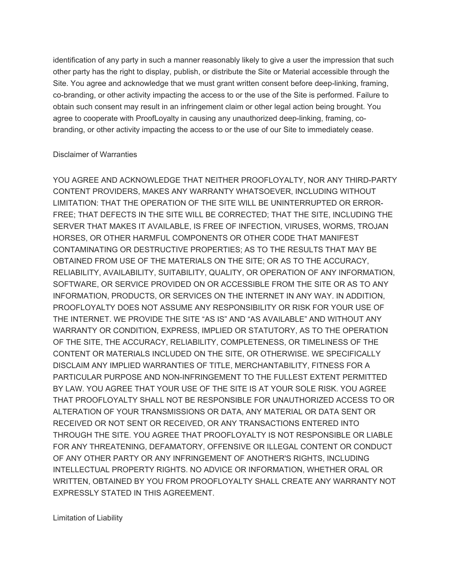identification of any party in such a manner reasonably likely to give a user the impression that such other party has the right to display, publish, or distribute the Site or Material accessible through the Site. You agree and acknowledge that we must grant written consent before deep-linking, framing, co-branding, or other activity impacting the access to or the use of the Site is performed. Failure to obtain such consent may result in an infringement claim or other legal action being brought. You agree to cooperate with ProofLoyalty in causing any unauthorized deep-linking, framing, cobranding, or other activity impacting the access to or the use of our Site to immediately cease.

#### Disclaimer of Warranties

YOU AGREE AND ACKNOWLEDGE THAT NEITHER PROOFLOYALTY, NOR ANY THIRD-PARTY CONTENT PROVIDERS, MAKES ANY WARRANTY WHATSOEVER, INCLUDING WITHOUT LIMITATION: THAT THE OPERATION OF THE SITE WILL BE UNINTERRUPTED OR ERROR-FREE; THAT DEFECTS IN THE SITE WILL BE CORRECTED; THAT THE SITE, INCLUDING THE SERVER THAT MAKES IT AVAILABLE, IS FREE OF INFECTION, VIRUSES, WORMS, TROJAN HORSES, OR OTHER HARMFUL COMPONENTS OR OTHER CODE THAT MANIFEST CONTAMINATING OR DESTRUCTIVE PROPERTIES; AS TO THE RESULTS THAT MAY BE OBTAINED FROM USE OF THE MATERIALS ON THE SITE; OR AS TO THE ACCURACY, RELIABILITY, AVAILABILITY, SUITABILITY, QUALITY, OR OPERATION OF ANY INFORMATION, SOFTWARE, OR SERVICE PROVIDED ON OR ACCESSIBLE FROM THE SITE OR AS TO ANY INFORMATION, PRODUCTS, OR SERVICES ON THE INTERNET IN ANY WAY. IN ADDITION, PROOFLOYALTY DOES NOT ASSUME ANY RESPONSIBILITY OR RISK FOR YOUR USE OF THE INTERNET. WE PROVIDE THE SITE "AS IS" AND "AS AVAILABLE" AND WITHOUT ANY WARRANTY OR CONDITION, EXPRESS, IMPLIED OR STATUTORY, AS TO THE OPERATION OF THE SITE, THE ACCURACY, RELIABILITY, COMPLETENESS, OR TIMELINESS OF THE CONTENT OR MATERIALS INCLUDED ON THE SITE, OR OTHERWISE. WE SPECIFICALLY DISCLAIM ANY IMPLIED WARRANTIES OF TITLE, MERCHANTABILITY, FITNESS FOR A PARTICULAR PURPOSE AND NON-INFRINGEMENT TO THE FULLEST EXTENT PERMITTED BY LAW. YOU AGREE THAT YOUR USE OF THE SITE IS AT YOUR SOLE RISK. YOU AGREE THAT PROOFLOYALTY SHALL NOT BE RESPONSIBLE FOR UNAUTHORIZED ACCESS TO OR ALTERATION OF YOUR TRANSMISSIONS OR DATA, ANY MATERIAL OR DATA SENT OR RECEIVED OR NOT SENT OR RECEIVED, OR ANY TRANSACTIONS ENTERED INTO THROUGH THE SITE. YOU AGREE THAT PROOFLOYALTY IS NOT RESPONSIBLE OR LIABLE FOR ANY THREATENING, DEFAMATORY, OFFENSIVE OR ILLEGAL CONTENT OR CONDUCT OF ANY OTHER PARTY OR ANY INFRINGEMENT OF ANOTHER'S RIGHTS, INCLUDING INTELLECTUAL PROPERTY RIGHTS. NO ADVICE OR INFORMATION, WHETHER ORAL OR WRITTEN, OBTAINED BY YOU FROM PROOFLOYALTY SHALL CREATE ANY WARRANTY NOT EXPRESSLY STATED IN THIS AGREEMENT.

Limitation of Liability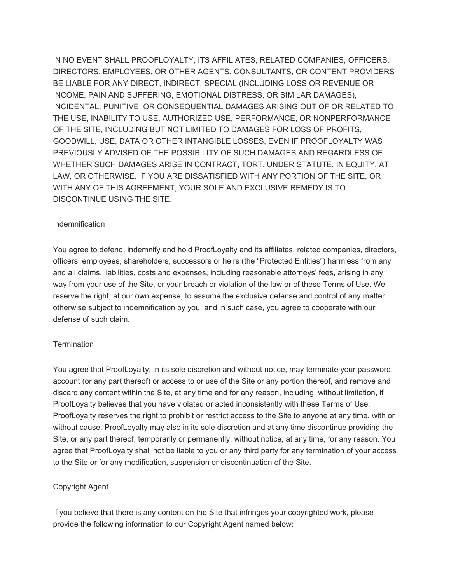IN NO EVENT SHALL PROOFLOYALTY, ITS AFFILIATES, RELATED COMPANIES, OFFICERS, DIRECTORS, EMPLOYEES, OR OTHER AGENTS, CONSULTANTS, OR CONTENT PROVIDERS BE LIABLE FOR ANY DIRECT, INDIRECT, SPECIAL (INCLUDING LOSS OR REVENUE OR INCOME, PAIN AND SUFFERING, EMOTIONAL DISTRESS, OR SIMILAR DAMAGES), INCIDENTAL, PUNITIVE, OR CONSEQUENTIAL DAMAGES ARISING OUT OF OR RELATED TO THE USE, INABILITY TO USE, AUTHORIZED USE, PERFORMANCE, OR NONPERFORMANCE OF THE SITE, INCLUDING BUT NOT LIMITED TO DAMAGES FOR LOSS OF PROFITS, GOODWILL, USE, DATA OR OTHER INTANGIBLE LOSSES, EVEN IF PROOFLOYALTY WAS PREVIOUSLY ADVISED OF THE POSSIBILITY OF SUCH DAMAGES AND REGARDLESS OF WHETHER SUCH DAMAGES ARISE IN CONTRACT, TORT, UNDER STATUTE, IN EQUITY, AT LAW, OR OTHERWISE. IF YOU ARE DISSATISFIED WITH ANY PORTION OF THE SITE, OR WITH ANY OF THIS AGREEMENT, YOUR SOLE AND EXCLUSIVE REMEDY IS TO DISCONTINUE USING THE SITE.

#### Indemnification

You agree to defend, indemnify and hold ProofLoyalty and its affiliates, related companies, directors, officers, employees, shareholders, successors or heirs (the "Protected Entities") harmless from any and all claims, liabilities, costs and expenses, including reasonable attorneys' fees, arising in any way from your use of the Site, or your breach or violation of the law or of these Terms of Use. We reserve the right, at our own expense, to assume the exclusive defense and control of any matter otherwise subject to indemnification by you, and in such case, you agree to cooperate with our defense of such claim.

### **Termination**

You agree that ProofLoyalty, in its sole discretion and without notice, may terminate your password, account (or any part thereof) or access to or use of the Site or any portion thereof, and remove and discard any content within the Site, at any time and for any reason, including, without limitation, if ProofLoyalty believes that you have violated or acted inconsistently with these Terms of Use. ProofLoyalty reserves the right to prohibit or restrict access to the Site to anyone at any time, with or without cause. ProofLoyalty may also in its sole discretion and at any time discontinue providing the Site, or any part thereof, temporarily or permanently, without notice, at any time, for any reason. You agree that ProofLoyalty shall not be liable to you or any third party for any termination of your access to the Site or for any modification, suspension or discontinuation of the Site.

### Copyright Agent

If you believe that there is any content on the Site that infringes your copyrighted work, please provide the following information to our Copyright Agent named below: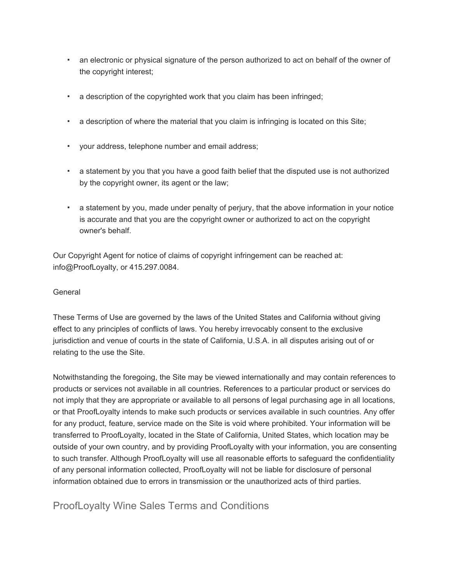- an electronic or physical signature of the person authorized to act on behalf of the owner of the copyright interest;
- a description of the copyrighted work that you claim has been infringed;
- a description of where the material that you claim is infringing is located on this Site;
- your address, telephone number and email address;
- a statement by you that you have a good faith belief that the disputed use is not authorized by the copyright owner, its agent or the law;
- **•** a statement by you, made under penalty of perjury, that the above information in your notice is accurate and that you are the copyright owner or authorized to act on the copyright owner's behalf.

Our Copyright Agent for notice of claims of copyright infringement can be reached at: info@ProofLoyalty, or 415.297.0084.

# General

These Terms of Use are governed by the laws of the United States and California without giving effect to any principles of conflicts of laws. You hereby irrevocably consent to the exclusive jurisdiction and venue of courts in the state of California, U.S.A. in all disputes arising out of or relating to the use the Site.

Notwithstanding the foregoing, the Site may be viewed internationally and may contain references to products or services not available in all countries. References to a particular product or services do not imply that they are appropriate or available to all persons of legal purchasing age in all locations, or that ProofLoyalty intends to make such products or services available in such countries. Any offer for any product, feature, service made on the Site is void where prohibited. Your information will be transferred to ProofLoyalty, located in the State of California, United States, which location may be outside of your own country, and by providing ProofLoyalty with your information, you are consenting to such transfer. Although ProofLoyalty will use all reasonable efforts to safeguard the confidentiality of any personal information collected, ProofLoyalty will not be liable for disclosure of personal information obtained due to errors in transmission or the unauthorized acts of third parties.

ProofLoyalty Wine Sales Terms and Conditions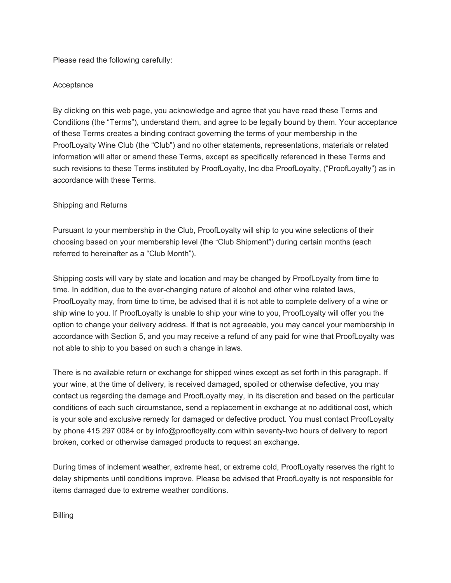Please read the following carefully:

# **Acceptance**

By clicking on this web page, you acknowledge and agree that you have read these Terms and Conditions (the "Terms"), understand them, and agree to be legally bound by them. Your acceptance of these Terms creates a binding contract governing the terms of your membership in the ProofLoyalty Wine Club (the "Club") and no other statements, representations, materials or related information will alter or amend these Terms, except as specifically referenced in these Terms and such revisions to these Terms instituted by ProofLoyalty, Inc dba ProofLoyalty, ("ProofLoyalty") as in accordance with these Terms.

# Shipping and Returns

Pursuant to your membership in the Club, ProofLoyalty will ship to you wine selections of their choosing based on your membership level (the "Club Shipment") during certain months (each referred to hereinafter as a "Club Month").

Shipping costs will vary by state and location and may be changed by ProofLoyalty from time to time. In addition, due to the ever-changing nature of alcohol and other wine related laws, ProofLoyalty may, from time to time, be advised that it is not able to complete delivery of a wine or ship wine to you. If ProofLoyalty is unable to ship your wine to you, ProofLoyalty will offer you the option to change your delivery address. If that is not agreeable, you may cancel your membership in accordance with Section 5, and you may receive a refund of any paid for wine that ProofLoyalty was not able to ship to you based on such a change in laws.

There is no available return or exchange for shipped wines except as set forth in this paragraph. If your wine, at the time of delivery, is received damaged, spoiled or otherwise defective, you may contact us regarding the damage and ProofLoyalty may, in its discretion and based on the particular conditions of each such circumstance, send a replacement in exchange at no additional cost, which is your sole and exclusive remedy for damaged or defective product. You must contact ProofLoyalty by phone 415 297 0084 or by info@proofloyalty.com within seventy-two hours of delivery to report broken, corked or otherwise damaged products to request an exchange.

During times of inclement weather, extreme heat, or extreme cold, ProofLoyalty reserves the right to delay shipments until conditions improve. Please be advised that ProofLoyalty is not responsible for items damaged due to extreme weather conditions.

Billing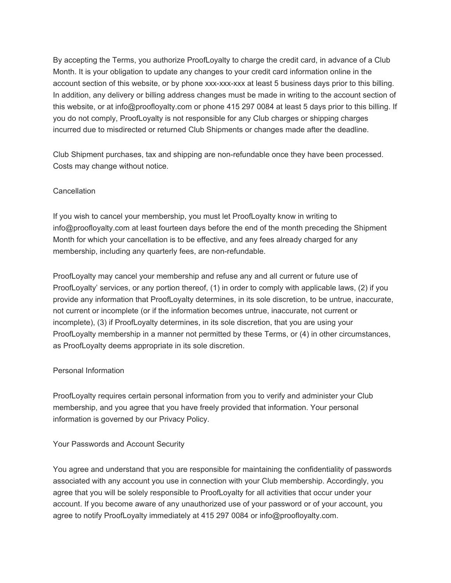By accepting the Terms, you authorize ProofLoyalty to charge the credit card, in advance of a Club Month. It is your obligation to update any changes to your credit card information online in the account section of this website, or by phone xxx-xxx-xxx at least 5 business days prior to this billing. In addition, any delivery or billing address changes must be made in writing to the account section of this website, or at info@proofloyalty.com or phone 415 297 0084 at least 5 days prior to this billing. If you do not comply, ProofLoyalty is not responsible for any Club charges or shipping charges incurred due to misdirected or returned Club Shipments or changes made after the deadline.

Club Shipment purchases, tax and shipping are non-refundable once they have been processed. Costs may change without notice.

# **Cancellation**

If you wish to cancel your membership, you must let ProofLoyalty know in writing to info@proofloyalty.com at least fourteen days before the end of the month preceding the Shipment Month for which your cancellation is to be effective, and any fees already charged for any membership, including any quarterly fees, are non-refundable.

ProofLoyalty may cancel your membership and refuse any and all current or future use of ProofLoyalty' services, or any portion thereof, (1) in order to comply with applicable laws, (2) if you provide any information that ProofLoyalty determines, in its sole discretion, to be untrue, inaccurate, not current or incomplete (or if the information becomes untrue, inaccurate, not current or incomplete), (3) if ProofLoyalty determines, in its sole discretion, that you are using your ProofLoyalty membership in a manner not permitted by these Terms, or (4) in other circumstances, as ProofLoyalty deems appropriate in its sole discretion.

### Personal Information

ProofLoyalty requires certain personal information from you to verify and administer your Club membership, and you agree that you have freely provided that information. Your personal information is governed by our Privacy Policy.

### Your Passwords and Account Security

You agree and understand that you are responsible for maintaining the confidentiality of passwords associated with any account you use in connection with your Club membership. Accordingly, you agree that you will be solely responsible to ProofLoyalty for all activities that occur under your account. If you become aware of any unauthorized use of your password or of your account, you agree to notify ProofLoyalty immediately at 415 297 0084 or info@proofloyalty.com.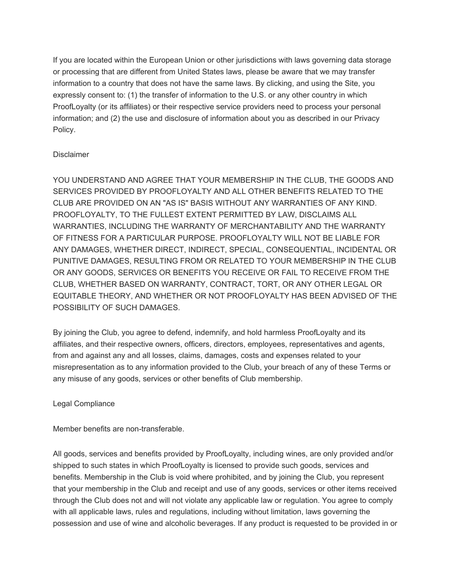If you are located within the European Union or other jurisdictions with laws governing data storage or processing that are different from United States laws, please be aware that we may transfer information to a country that does not have the same laws. By clicking, and using the Site, you expressly consent to: (1) the transfer of information to the U.S. or any other country in which ProofLoyalty (or its affiliates) or their respective service providers need to process your personal information; and (2) the use and disclosure of information about you as described in our Privacy Policy.

# **Disclaimer**

YOU UNDERSTAND AND AGREE THAT YOUR MEMBERSHIP IN THE CLUB, THE GOODS AND SERVICES PROVIDED BY PROOFLOYALTY AND ALL OTHER BENEFITS RELATED TO THE CLUB ARE PROVIDED ON AN "AS IS" BASIS WITHOUT ANY WARRANTIES OF ANY KIND. PROOFLOYALTY, TO THE FULLEST EXTENT PERMITTED BY LAW, DISCLAIMS ALL WARRANTIES, INCLUDING THE WARRANTY OF MERCHANTABILITY AND THE WARRANTY OF FITNESS FOR A PARTICULAR PURPOSE. PROOFLOYALTY WILL NOT BE LIABLE FOR ANY DAMAGES, WHETHER DIRECT, INDIRECT, SPECIAL, CONSEQUENTIAL, INCIDENTAL OR PUNITIVE DAMAGES, RESULTING FROM OR RELATED TO YOUR MEMBERSHIP IN THE CLUB OR ANY GOODS, SERVICES OR BENEFITS YOU RECEIVE OR FAIL TO RECEIVE FROM THE CLUB, WHETHER BASED ON WARRANTY, CONTRACT, TORT, OR ANY OTHER LEGAL OR EQUITABLE THEORY, AND WHETHER OR NOT PROOFLOYALTY HAS BEEN ADVISED OF THE POSSIBILITY OF SUCH DAMAGES.

By joining the Club, you agree to defend, indemnify, and hold harmless ProofLoyalty and its affiliates, and their respective owners, officers, directors, employees, representatives and agents, from and against any and all losses, claims, damages, costs and expenses related to your misrepresentation as to any information provided to the Club, your breach of any of these Terms or any misuse of any goods, services or other benefits of Club membership.

### Legal Compliance

Member benefits are non-transferable.

All goods, services and benefits provided by ProofLoyalty, including wines, are only provided and/or shipped to such states in which ProofLoyalty is licensed to provide such goods, services and benefits. Membership in the Club is void where prohibited, and by joining the Club, you represent that your membership in the Club and receipt and use of any goods, services or other items received through the Club does not and will not violate any applicable law or regulation. You agree to comply with all applicable laws, rules and regulations, including without limitation, laws governing the possession and use of wine and alcoholic beverages. If any product is requested to be provided in or